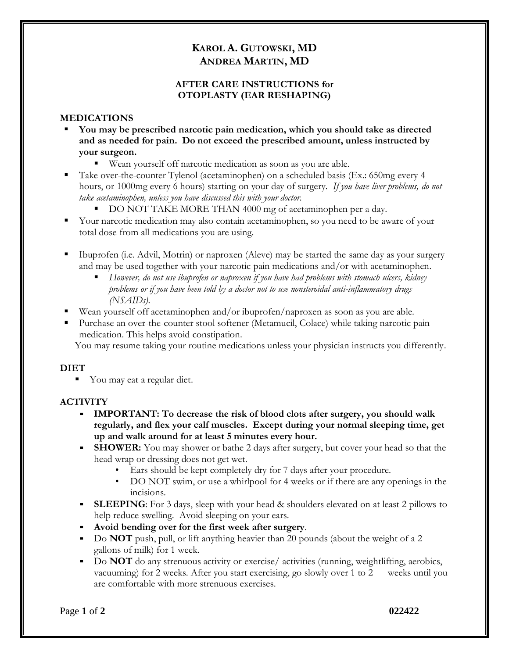# **KAROL A. GUTOWSKI, MD ANDREA MARTIN, MD**

#### **AFTER CARE INSTRUCTIONS for OTOPLASTY (EAR RESHAPING)**

#### **MEDICATIONS**

- **You may be prescribed narcotic pain medication, which you should take as directed and as needed for pain. Do not exceed the prescribed amount, unless instructed by your surgeon.** 
	- Wean yourself off narcotic medication as soon as you are able.
- Take over-the-counter Tylenol (acetaminophen) on a scheduled basis (Ex.: 650mg every 4 hours, or 1000mg every 6 hours) starting on your day of surgery. *If you have liver problems, do not take acetaminophen, unless you have discussed this with your doctor.* 
	- DO NOT TAKE MORE THAN 4000 mg of acetaminophen per a day.
- Your narcotic medication may also contain acetaminophen, so you need to be aware of your total dose from all medications you are using.
- Ibuprofen (i.e. Advil, Motrin) or naproxen (Aleve) may be started the same day as your surgery and may be used together with your narcotic pain medications and/or with acetaminophen.
	- *However, do not use ibuprofen or naproxen if you have had problems with stomach ulcers, kidney problems or if you have been told by a doctor not to use nonsteroidal anti-inflammatory drugs (NSAIDs).*
- Wean yourself off acetaminophen and/or ibuprofen/naproxen as soon as you are able.
- Purchase an over-the-counter stool softener (Metamucil, Colace) while taking narcotic pain medication. This helps avoid constipation.

You may resume taking your routine medications unless your physician instructs you differently.

## **DIET**

■ You may eat a regular diet.

## **ACTIVITY**

- **IMPORTANT: To decrease the risk of blood clots after surgery, you should walk regularly, and flex your calf muscles. Except during your normal sleeping time, get up and walk around for at least 5 minutes every hour.**
- **SHOWER:** You may shower or bathe 2 days after surgery, but cover your head so that the head wrap or dressing does not get wet.
	- Ears should be kept completely dry for 7 days after your procedure.
	- DO NOT swim, or use a whirlpool for 4 weeks or if there are any openings in the incisions.
- **EXEEPING:** For 3 days, sleep with your head & shoulders elevated on at least 2 pillows to help reduce swelling. Avoid sleeping on your ears.
- Avoid bending over for the first week after surgery.
- Do **NOT** push, pull, or lift anything heavier than 20 pounds (about the weight of a 2 gallons of milk) for 1 week.
- Do **NOT** do any strenuous activity or exercise/ activities (running, weightlifting, aerobics, vacuuming) for 2 weeks. After you start exercising, go slowly over 1 to 2 weeks until you are comfortable with more strenuous exercises.